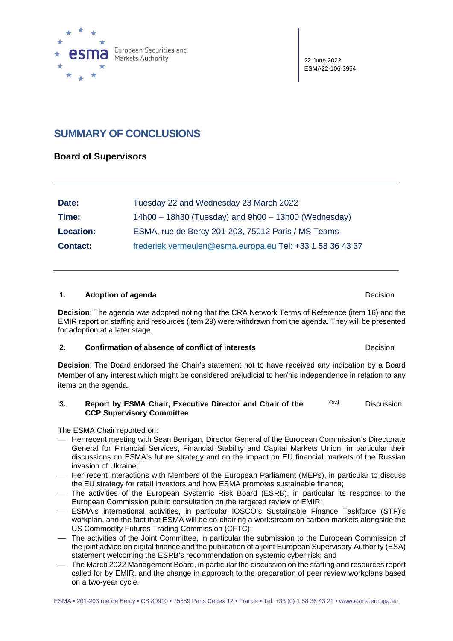

22 June 2022 ESMA22-106-3954

# **SUMMARY OF CONCLUSIONS**

### **Board of Supervisors**

| Date:            | Tuesday 22 and Wednesday 23 March 2022                    |
|------------------|-----------------------------------------------------------|
| Time:            | $14h00 - 18h30$ (Tuesday) and $9h00 - 13h00$ (Wednesday)  |
| <b>Location:</b> | ESMA, rue de Bercy 201-203, 75012 Paris / MS Teams        |
| <b>Contact:</b>  | frederiek.vermeulen@esma.europa.eu Tel: +33 1 58 36 43 37 |

#### **1. Adoption of agenda Decision Decision**

**Decision**: The agenda was adopted noting that the CRA Network Terms of Reference (item 16) and the EMIR report on staffing and resources (item 29) were withdrawn from the agenda. They will be presented for adoption at a later stage.

#### **2. Confirmation of absence of conflict of interests Decision Decision**

**Decision**: The Board endorsed the Chair's statement not to have received any indication by a Board Member of any interest which might be considered prejudicial to her/his independence in relation to any items on the agenda.

#### **3. Report by ESMA Chair, Executive Director and Chair of the CCP Supervisory Committee** Oral Discussion

The ESMA Chair reported on:

- Her recent meeting with Sean Berrigan, Director General of the European Commission's Directorate General for Financial Services, Financial Stability and Capital Markets Union, in particular their discussions on ESMA's future strategy and on the impact on EU financial markets of the Russian invasion of Ukraine;
- Her recent interactions with Members of the European Parliament (MEPs), in particular to discuss the EU strategy for retail investors and how ESMA promotes sustainable finance;
- The activities of the European Systemic Risk Board (ESRB), in particular its response to the European Commission public consultation on the targeted review of EMIR;
- ESMA's international activities, in particular IOSCO's Sustainable Finance Taskforce (STF)'s workplan, and the fact that ESMA will be co-chairing a workstream on carbon markets alongside the US Commodity Futures Trading Commission (CFTC);
- The activities of the Joint Committee, in particular the submission to the European Commission of the joint advice on digital finance and the publication of a joint European Supervisory Authority (ESA) statement welcoming the ESRB's recommendation on systemic cyber risk; and
- The March 2022 Management Board, in particular the discussion on the staffing and resources report called for by EMIR, and the change in approach to the preparation of peer review workplans based on a two-year cycle.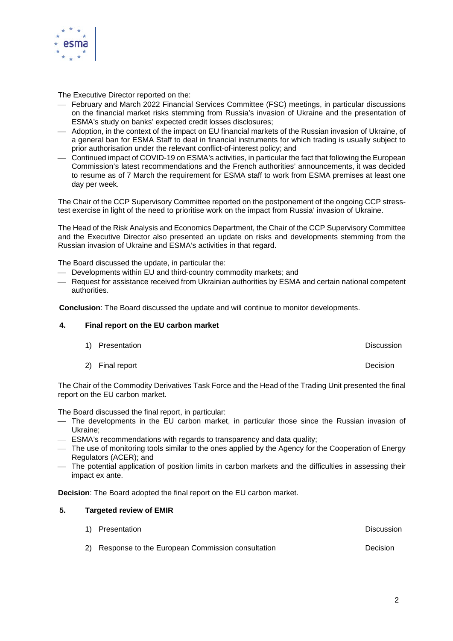

The Executive Director reported on the:

- February and March 2022 Financial Services Committee (FSC) meetings, in particular discussions on the financial market risks stemming from Russia's invasion of Ukraine and the presentation of ESMA's study on banks' expected credit losses disclosures;
- Adoption, in the context of the impact on EU financial markets of the Russian invasion of Ukraine, of a general ban for ESMA Staff to deal in financial instruments for which trading is usually subject to prior authorisation under the relevant conflict-of-interest policy; and
- Continued impact of COVID-19 on ESMA's activities, in particular the fact that following the European Commission's latest recommendations and the French authorities' announcements, it was decided to resume as of 7 March the requirement for ESMA staff to work from ESMA premises at least one day per week.

The Chair of the CCP Supervisory Committee reported on the postponement of the ongoing CCP stresstest exercise in light of the need to prioritise work on the impact from Russia' invasion of Ukraine.

The Head of the Risk Analysis and Economics Department, the Chair of the CCP Supervisory Committee and the Executive Director also presented an update on risks and developments stemming from the Russian invasion of Ukraine and ESMA's activities in that regard.

The Board discussed the update, in particular the:

- Developments within EU and third-country commodity markets; and
- Request for assistance received from Ukrainian authorities by ESMA and certain national competent authorities.

**Conclusion**: The Board discussed the update and will continue to monitor developments.

#### **4. Final report on the EU carbon market**

| 1) Presentation | Discussion |
|-----------------|------------|
|                 |            |

2) Final report **Decision** 

The Chair of the Commodity Derivatives Task Force and the Head of the Trading Unit presented the final report on the EU carbon market.

The Board discussed the final report, in particular:

- The developments in the EU carbon market, in particular those since the Russian invasion of Ukraine;
- ESMA's recommendations with regards to transparency and data quality;
- The use of monitoring tools similar to the ones applied by the Agency for the Cooperation of Energy Regulators (ACER); and
- The potential application of position limits in carbon markets and the difficulties in assessing their impact ex ante.

**Decision**: The Board adopted the final report on the EU carbon market.

#### **5. Targeted review of EMIR**

| 1) Presentation                                     | Discussion |
|-----------------------------------------------------|------------|
| 2) Response to the European Commission consultation | Decision   |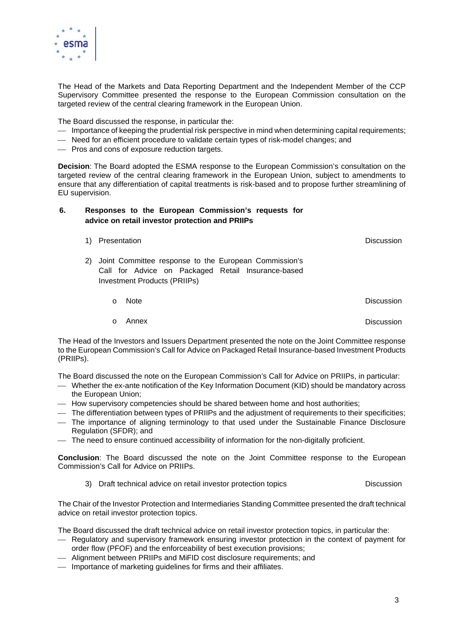

The Head of the Markets and Data Reporting Department and the Independent Member of the CCP Supervisory Committee presented the response to the European Commission consultation on the targeted review of the central clearing framework in the European Union.

The Board discussed the response, in particular the:

- Importance of keeping the prudential risk perspective in mind when determining capital requirements;
- Need for an efficient procedure to validate certain types of risk-model changes; and
- Pros and cons of exposure reduction targets.

**Decision**: The Board adopted the ESMA response to the European Commission's consultation on the targeted review of the central clearing framework in the European Union, subject to amendments to ensure that any differentiation of capital treatments is risk-based and to propose further streamlining of EU supervision.

#### **6. Responses to the European Commission's requests for advice on retail investor protection and PRIIPs**

|    | <b>Presentation</b> |                                                                                                                                             | Discussion        |
|----|---------------------|---------------------------------------------------------------------------------------------------------------------------------------------|-------------------|
| 2) |                     | Joint Committee response to the European Commission's<br>Call for Advice on Packaged Retail Insurance-based<br>Investment Products (PRIIPs) |                   |
|    | $\Omega$            | <b>Note</b>                                                                                                                                 | <b>Discussion</b> |
|    | $\Omega$            | Annex                                                                                                                                       | Discussion        |

The Head of the Investors and Issuers Department presented the note on the Joint Committee response to the European Commission's Call for Advice on Packaged Retail Insurance-based Investment Products (PRIIPs).

The Board discussed the note on the European Commission's Call for Advice on PRIIPs, in particular:

- Whether the ex-ante notification of the Key Information Document (KID) should be mandatory across the European Union;
- How supervisory competencies should be shared between home and host authorities;
- The differentiation between types of PRIIPs and the adjustment of requirements to their specificities;
- The importance of aligning terminology to that used under the Sustainable Finance Disclosure Regulation (SFDR); and
- The need to ensure continued accessibility of information for the non-digitally proficient.

**Conclusion**: The Board discussed the note on the Joint Committee response to the European Commission's Call for Advice on PRIIPs.

3) Draft technical advice on retail investor protection topics Discussion

The Chair of the Investor Protection and Intermediaries Standing Committee presented the draft technical advice on retail investor protection topics.

The Board discussed the draft technical advice on retail investor protection topics, in particular the:

- Regulatory and supervisory framework ensuring investor protection in the context of payment for order flow (PFOF) and the enforceability of best execution provisions;
- Alignment between PRIIPs and MiFID cost disclosure requirements; and
- Importance of marketing guidelines for firms and their affiliates.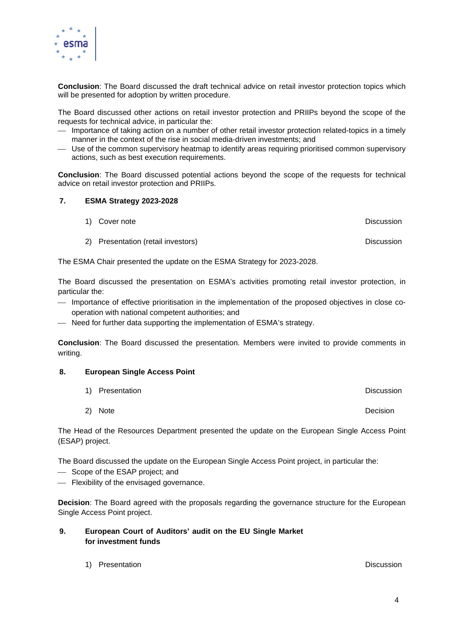

**Conclusion**: The Board discussed the draft technical advice on retail investor protection topics which will be presented for adoption by written procedure.

The Board discussed other actions on retail investor protection and PRIIPs beyond the scope of the requests for technical advice, in particular the:

- Importance of taking action on a number of other retail investor protection related-topics in a timely manner in the context of the rise in social media-driven investments; and
- Use of the common supervisory heatmap to identify areas requiring prioritised common supervisory actions, such as best execution requirements.

**Conclusion**: The Board discussed potential actions beyond the scope of the requests for technical advice on retail investor protection and PRIIPs.

#### **7. ESMA Strategy 2023-2028**

- 1) Cover note **Discussion**
- 2) Presentation (retail investors) Discussion

The ESMA Chair presented the update on the ESMA Strategy for 2023-2028.

The Board discussed the presentation on ESMA's activities promoting retail investor protection, in particular the:

- Importance of effective prioritisation in the implementation of the proposed objectives in close cooperation with national competent authorities; and
- Need for further data supporting the implementation of ESMA's strategy.

**Conclusion**: The Board discussed the presentation. Members were invited to provide comments in writing.

#### **8. European Single Access Point**

- 1) Presentation Discussion
- 2) Note Decision

The Head of the Resources Department presented the update on the European Single Access Point (ESAP) project.

The Board discussed the update on the European Single Access Point project, in particular the:

- Scope of the ESAP project; and
- Flexibility of the envisaged governance.

**Decision**: The Board agreed with the proposals regarding the governance structure for the European Single Access Point project.

- **9. European Court of Auditors' audit on the EU Single Market for investment funds**
	- 1) Presentation **Discussion** Discussion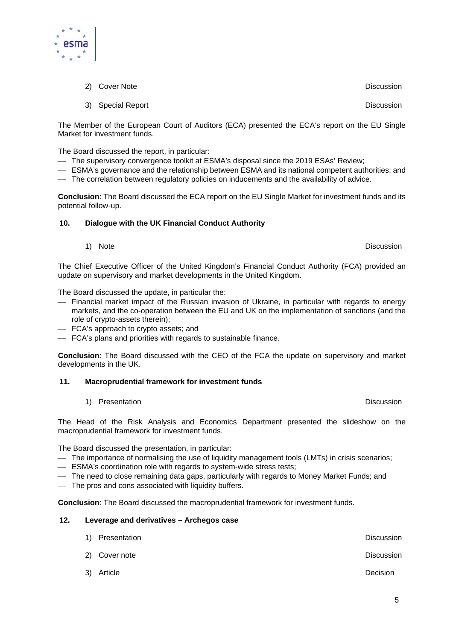

- 2) Cover Note **Discussion**
- 3) Special Report **Discussion Discussion**

The Member of the European Court of Auditors (ECA) presented the ECA's report on the EU Single Market for investment funds.

The Board discussed the report, in particular:

- The supervisory convergence toolkit at ESMA's disposal since the 2019 ESAs' Review;
- ESMA's governance and the relationship between ESMA and its national competent authorities; and
- The correlation between regulatory policies on inducements and the availability of advice.

**Conclusion**: The Board discussed the ECA report on the EU Single Market for investment funds and its potential follow-up.

#### **10. Dialogue with the UK Financial Conduct Authority**

1) Note Discussion

The Chief Executive Officer of the United Kingdom's Financial Conduct Authority (FCA) provided an update on supervisory and market developments in the United Kingdom.

The Board discussed the update, in particular the:

- Financial market impact of the Russian invasion of Ukraine, in particular with regards to energy markets, and the co-operation between the EU and UK on the implementation of sanctions (and the role of crypto-assets therein);
- FCA's approach to crypto assets; and
- FCA's plans and priorities with regards to sustainable finance.

**Conclusion**: The Board discussed with the CEO of the FCA the update on supervisory and market developments in the UK.

#### **11. Macroprudential framework for investment funds**

1) Presentation **Discussion** Discussion

The Head of the Risk Analysis and Economics Department presented the slideshow on the macroprudential framework for investment funds.

The Board discussed the presentation, in particular:

- The importance of normalising the use of liquidity management tools (LMTs) in crisis scenarios;
- ESMA's coordination role with regards to system-wide stress tests;
- The need to close remaining data gaps, particularly with regards to Money Market Funds; and
- The pros and cons associated with liquidity buffers.

**Conclusion**: The Board discussed the macroprudential framework for investment funds.

### **12. Leverage and derivatives – Archegos case**

| 1) Presentation | <b>Discussion</b> |
|-----------------|-------------------|
| 2) Cover note   | <b>Discussion</b> |
| 3) Article      | Decision          |

5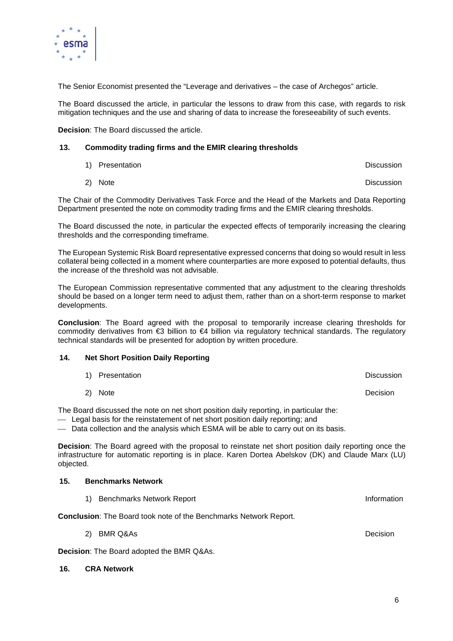

The Senior Economist presented the "Leverage and derivatives – the case of Archegos" article.

The Board discussed the article, in particular the lessons to draw from this case, with regards to risk mitigation techniques and the use and sharing of data to increase the foreseeability of such events.

**Decision**: The Board discussed the article.

#### **13. Commodity trading firms and the EMIR clearing thresholds**

| 1) Presentation      | <b>Discussion</b> |  |
|----------------------|-------------------|--|
| $\sim$ $\sim$ $\sim$ | -                 |  |

2) Note Discussion

The Chair of the Commodity Derivatives Task Force and the Head of the Markets and Data Reporting Department presented the note on commodity trading firms and the EMIR clearing thresholds.

The Board discussed the note, in particular the expected effects of temporarily increasing the clearing thresholds and the corresponding timeframe.

The European Systemic Risk Board representative expressed concerns that doing so would result in less collateral being collected in a moment where counterparties are more exposed to potential defaults, thus the increase of the threshold was not advisable.

The European Commission representative commented that any adjustment to the clearing thresholds should be based on a longer term need to adjust them, rather than on a short-term response to market developments.

**Conclusion**: The Board agreed with the proposal to temporarily increase clearing thresholds for commodity derivatives from €3 billion to €4 billion via regulatory technical standards. The regulatory technical standards will be presented for adoption by written procedure.

#### **14. Net Short Position Daily Reporting**

| 1) Presentation |  | Discussion |
|-----------------|--|------------|
|                 |  |            |

2) Note Decision

The Board discussed the note on net short position daily reporting, in particular the:

Legal basis for the reinstatement of net short position daily reporting; and

Data collection and the analysis which ESMA will be able to carry out on its basis.

**Decision**: The Board agreed with the proposal to reinstate net short position daily reporting once the infrastructure for automatic reporting is in place. Karen Dortea Abelskov (DK) and Claude Marx (LU) objected.

#### **15. Benchmarks Network**

1) Benchmarks Network Report **Information** Information

**Conclusion**: The Board took note of the Benchmarks Network Report.

2) BMR Q&As Decision

**Decision**: The Board adopted the BMR Q&As.

**16. CRA Network**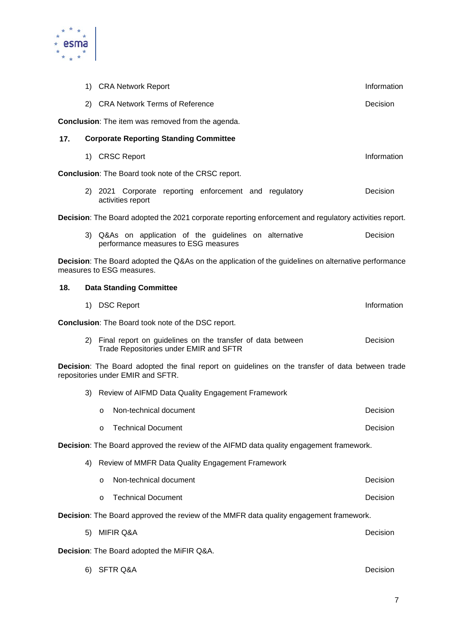

|     |    | 1) CRA Network Report                                                                                                                    | Information |
|-----|----|------------------------------------------------------------------------------------------------------------------------------------------|-------------|
|     |    | 2) CRA Network Terms of Reference                                                                                                        | Decision    |
|     |    | <b>Conclusion:</b> The item was removed from the agenda.                                                                                 |             |
| 17. |    | <b>Corporate Reporting Standing Committee</b>                                                                                            |             |
|     |    | 1) CRSC Report                                                                                                                           | Information |
|     |    | Conclusion: The Board took note of the CRSC report.                                                                                      |             |
|     |    | 2) 2021 Corporate reporting enforcement and regulatory<br>activities report                                                              | Decision    |
|     |    | Decision: The Board adopted the 2021 corporate reporting enforcement and regulatory activities report.                                   |             |
|     |    | 3) Q&As on application of the guidelines on alternative<br>performance measures to ESG measures                                          | Decision    |
|     |    | <b>Decision:</b> The Board adopted the Q&As on the application of the guidelines on alternative performance<br>measures to ESG measures. |             |
| 18. |    | <b>Data Standing Committee</b>                                                                                                           |             |
|     |    | 1) DSC Report                                                                                                                            | Information |
|     |    | Conclusion: The Board took note of the DSC report.                                                                                       |             |
|     | 2) | Final report on guidelines on the transfer of data between<br>Trade Repositories under EMIR and SFTR                                     | Decision    |
|     |    | Decision: The Board adopted the final report on guidelines on the transfer of data between trade<br>repositories under EMIR and SFTR.    |             |
|     | 3) | Review of AIFMD Data Quality Engagement Framework                                                                                        |             |
|     |    | Non-technical document<br>$\circ$                                                                                                        | Decision    |
|     |    | <b>Technical Document</b><br>O                                                                                                           | Decision    |
|     |    | Decision: The Board approved the review of the AIFMD data quality engagement framework.                                                  |             |
|     | 4) | Review of MMFR Data Quality Engagement Framework                                                                                         |             |
|     |    | Non-technical document<br>$\circ$                                                                                                        | Decision    |
|     |    | <b>Technical Document</b><br>$\circ$                                                                                                     | Decision    |
|     |    | Decision: The Board approved the review of the MMFR data quality engagement framework.                                                   |             |
|     | 5) | <b>MIFIR Q&amp;A</b>                                                                                                                     | Decision    |
|     |    | Decision: The Board adopted the MiFIR Q&A.                                                                                               |             |
|     | 6) | <b>SFTR Q&amp;A</b>                                                                                                                      | Decision    |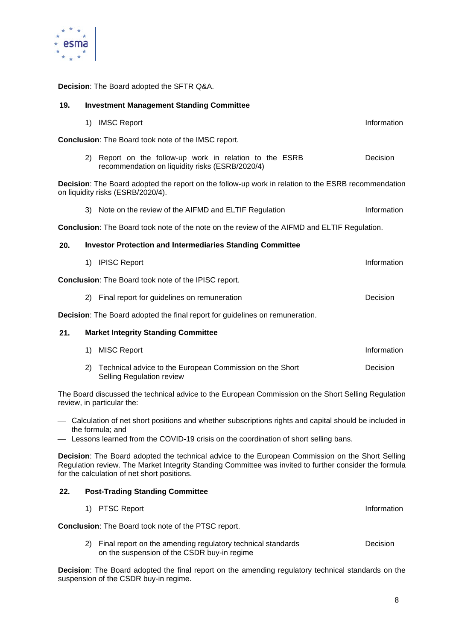

**Decision**: The Board adopted the SFTR Q&A.

| 19.                                                                                                                               |    | <b>Investment Management Standing Committee</b>                                                                                          |             |
|-----------------------------------------------------------------------------------------------------------------------------------|----|------------------------------------------------------------------------------------------------------------------------------------------|-------------|
|                                                                                                                                   |    | 1) IMSC Report                                                                                                                           | Information |
|                                                                                                                                   |    | Conclusion: The Board took note of the IMSC report.                                                                                      |             |
|                                                                                                                                   |    | 2) Report on the follow-up work in relation to the ESRB<br>recommendation on liquidity risks (ESRB/2020/4)                               | Decision    |
|                                                                                                                                   |    | Decision: The Board adopted the report on the follow-up work in relation to the ESRB recommendation<br>on liquidity risks (ESRB/2020/4). |             |
|                                                                                                                                   |    | 3) Note on the review of the AIFMD and ELTIF Regulation                                                                                  | Information |
|                                                                                                                                   |    | Conclusion: The Board took note of the note on the review of the AIFMD and ELTIF Regulation.                                             |             |
| 20.                                                                                                                               |    | <b>Investor Protection and Intermediaries Standing Committee</b>                                                                         |             |
|                                                                                                                                   |    | 1) IPISC Report                                                                                                                          | Information |
|                                                                                                                                   |    | <b>Conclusion:</b> The Board took note of the IPISC report.                                                                              |             |
|                                                                                                                                   |    | 2) Final report for guidelines on remuneration                                                                                           | Decision    |
|                                                                                                                                   |    | Decision: The Board adopted the final report for guidelines on remuneration.                                                             |             |
| 21.                                                                                                                               |    | <b>Market Integrity Standing Committee</b>                                                                                               |             |
|                                                                                                                                   | 1) | <b>MISC Report</b>                                                                                                                       | Information |
|                                                                                                                                   | 2) | Technical advice to the European Commission on the Short<br>Selling Regulation review                                                    | Decision    |
| The Board discussed the technical advice to the European Commission on the Short Selling Regulation<br>review, in particular the: |    |                                                                                                                                          |             |

- Calculation of net short positions and whether subscriptions rights and capital should be included in the formula; and
- Lessons learned from the COVID-19 crisis on the coordination of short selling bans.

**Decision**: The Board adopted the technical advice to the European Commission on the Short Selling Regulation review. The Market Integrity Standing Committee was invited to further consider the formula for the calculation of net short positions.

### **22. Post-Trading Standing Committee**

|    | 1) PTSC Report                                                                                             | Information |
|----|------------------------------------------------------------------------------------------------------------|-------------|
|    | <b>Conclusion:</b> The Board took note of the PTSC report.                                                 |             |
| 2) | Final report on the amending regulatory technical standards<br>on the suspension of the CSDR buy-in regime | Decision    |
|    | Baatalam: The Deand edented the final negative the amending negulates: teahnical standards an the          |             |

**Decision**: The Board adopted the final report on the amending regulatory technical standards on the suspension of the CSDR buy-in regime.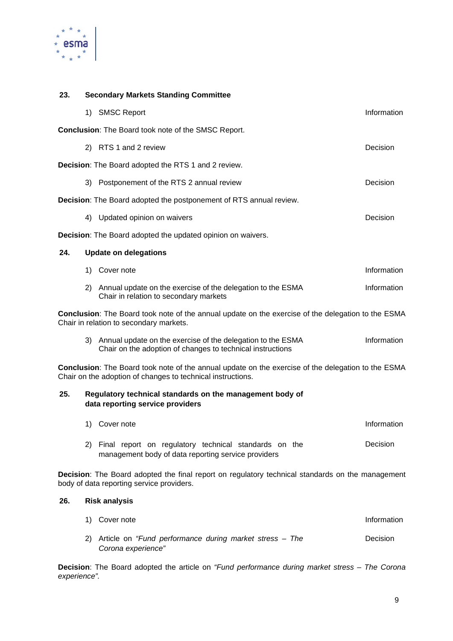

### **23. Secondary Markets Standing Committee**

|     |    | 1) SMSC Report                                                                                                                                                    | Information |
|-----|----|-------------------------------------------------------------------------------------------------------------------------------------------------------------------|-------------|
|     |    | Conclusion: The Board took note of the SMSC Report.                                                                                                               |             |
|     |    | 2) RTS 1 and 2 review                                                                                                                                             | Decision    |
|     |    | <b>Decision:</b> The Board adopted the RTS 1 and 2 review.                                                                                                        |             |
|     | 3) | Postponement of the RTS 2 annual review                                                                                                                           | Decision    |
|     |    | Decision: The Board adopted the postponement of RTS annual review.                                                                                                |             |
|     |    | 4) Updated opinion on waivers                                                                                                                                     | Decision    |
|     |    | <b>Decision:</b> The Board adopted the updated opinion on waivers.                                                                                                |             |
| 24. |    | <b>Update on delegations</b>                                                                                                                                      |             |
|     |    | 1) Cover note                                                                                                                                                     | Information |
|     |    | 2) Annual update on the exercise of the delegation to the ESMA<br>Chair in relation to secondary markets                                                          | Information |
|     |    | Conclusion: The Board took note of the annual update on the exercise of the delegation to the ESMA<br>Chair in relation to secondary markets.                     |             |
|     |    | 3) Annual update on the exercise of the delegation to the ESMA<br>Chair on the adoption of changes to technical instructions                                      | Information |
|     |    | Conclusion: The Board took note of the annual update on the exercise of the delegation to the ESMA<br>Chair on the adoption of changes to technical instructions. |             |
| 25. |    | Regulatory technical standards on the management body of<br>data reporting service providers                                                                      |             |
|     | 1) | Cover note                                                                                                                                                        | Information |
|     |    | 2) Final report on regulatory technical standards on the<br>management body of data reporting service providers                                                   | Decision    |
|     |    | Decision: The Board adopted the final report on regulatory technical standards on the management<br>body of data reporting service providers.                     |             |
| 26. |    | <b>Risk analysis</b>                                                                                                                                              |             |
|     | 1) | Cover note                                                                                                                                                        | Information |

2) Article on *"Fund performance during market stress – The Corona experience"* Decision

**Decision**: The Board adopted the article on *"Fund performance during market stress – The Corona experience".*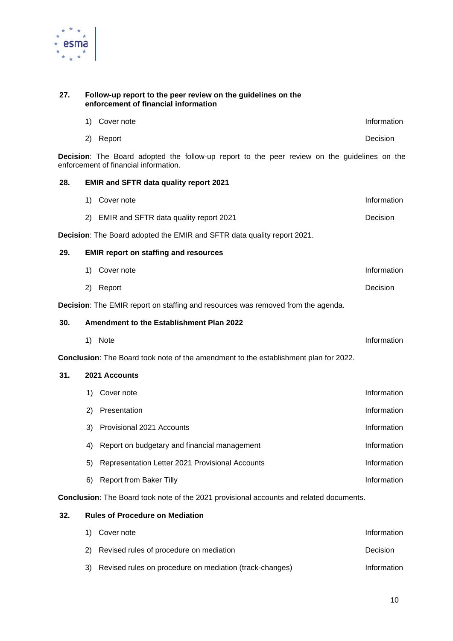

#### **27. Follow-up report to the peer review on the guidelines on the enforcement of financial information**

|     | 1) | Cover note                                                                                                                                   | Information |
|-----|----|----------------------------------------------------------------------------------------------------------------------------------------------|-------------|
|     | 2) | Report                                                                                                                                       | Decision    |
|     |    | <b>Decision:</b> The Board adopted the follow-up report to the peer review on the guidelines on the<br>enforcement of financial information. |             |
| 28. |    | <b>EMIR and SFTR data quality report 2021</b>                                                                                                |             |
|     | 1) | Cover note                                                                                                                                   | Information |
|     | 2) | EMIR and SFTR data quality report 2021                                                                                                       | Decision    |
|     |    | Decision: The Board adopted the EMIR and SFTR data quality report 2021.                                                                      |             |
| 29. |    | <b>EMIR report on staffing and resources</b>                                                                                                 |             |
|     | 1) | Cover note                                                                                                                                   | Information |
|     | 2) | Report                                                                                                                                       | Decision    |
|     |    | Decision: The EMIR report on staffing and resources was removed from the agenda.                                                             |             |
| 30. |    | Amendment to the Establishment Plan 2022                                                                                                     |             |
|     | 1) | Note                                                                                                                                         | Information |
|     |    | Conclusion: The Board took note of the amendment to the establishment plan for 2022.                                                         |             |
| 31. |    | 2021 Accounts                                                                                                                                |             |
|     | 1) | Cover note                                                                                                                                   | Information |
|     | 2) | Presentation                                                                                                                                 | Information |
|     | 3) | Provisional 2021 Accounts                                                                                                                    | Information |
|     | 4) | Report on budgetary and financial management                                                                                                 | Information |
|     | 5) | Representation Letter 2021 Provisional Accounts                                                                                              | Information |

**Conclusion**: The Board took note of the 2021 provisional accounts and related documents.

#### **32. Rules of Procedure on Mediation**

| 1) Cover note                                              | Information |
|------------------------------------------------------------|-------------|
| 2) Revised rules of procedure on mediation                 | Decision    |
| 3) Revised rules on procedure on mediation (track-changes) | Information |

6) Report from Baker Tilly **Information**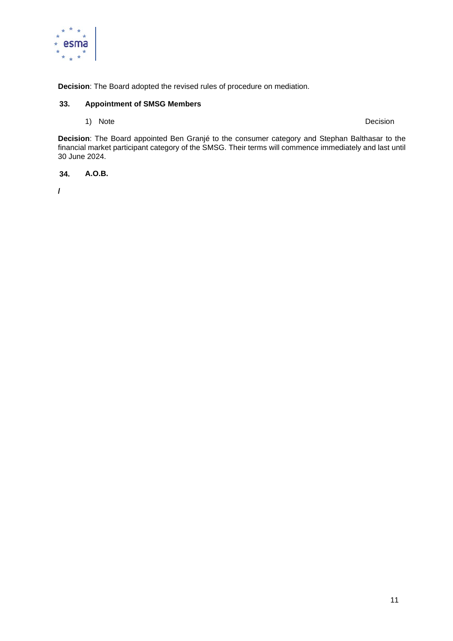

**Decision**: The Board adopted the revised rules of procedure on mediation.

#### **33. Appointment of SMSG Members**

1) Note Decision

**Decision**: The Board appointed Ben Granjé to the consumer category and Stephan Balthasar to the financial market participant category of the SMSG. Their terms will commence immediately and last until 30 June 2024.

**34. A.O.B.**

**/**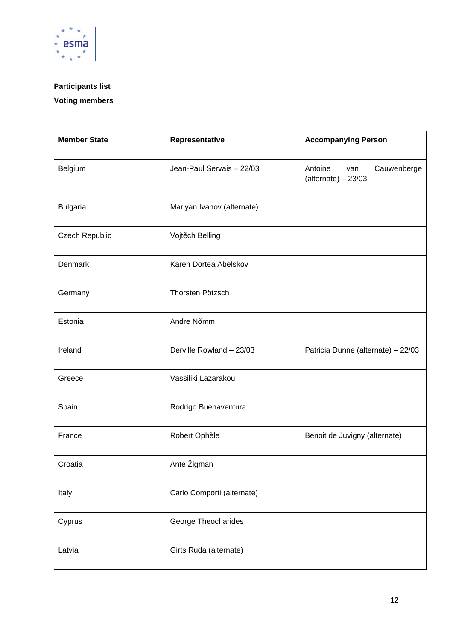

# **Participants list**

# **Voting members**

| <b>Member State</b> | Representative             | <b>Accompanying Person</b>                             |
|---------------------|----------------------------|--------------------------------------------------------|
| Belgium             | Jean-Paul Servais - 22/03  | Cauwenberge<br>Antoine<br>van<br>$(alternate) - 23/03$ |
| <b>Bulgaria</b>     | Mariyan Ivanov (alternate) |                                                        |
| Czech Republic      | Vojtěch Belling            |                                                        |
| Denmark             | Karen Dortea Abelskov      |                                                        |
| Germany             | Thorsten Pötzsch           |                                                        |
| Estonia             | Andre Nõmm                 |                                                        |
| Ireland             | Derville Rowland - 23/03   | Patricia Dunne (alternate) - 22/03                     |
| Greece              | Vassiliki Lazarakou        |                                                        |
| Spain               | Rodrigo Buenaventura       |                                                        |
| France              | Robert Ophèle              | Benoit de Juvigny (alternate)                          |
| Croatia             | Ante Žigman                |                                                        |
| Italy               | Carlo Comporti (alternate) |                                                        |
| Cyprus              | George Theocharides        |                                                        |
| Latvia              | Girts Ruda (alternate)     |                                                        |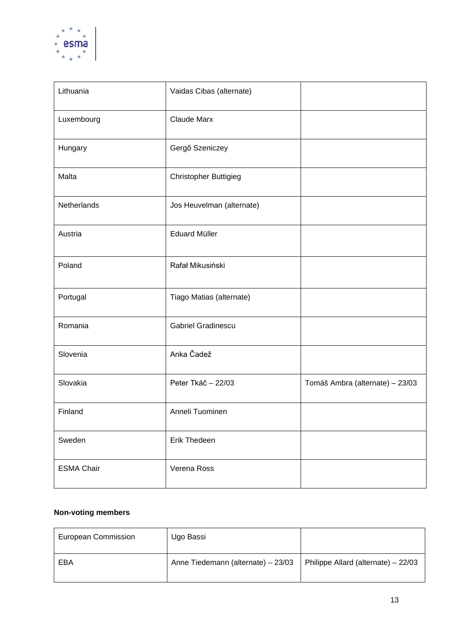

| Lithuania         | Vaidas Cibas (alternate)     |                                 |
|-------------------|------------------------------|---------------------------------|
| Luxembourg        | <b>Claude Marx</b>           |                                 |
| Hungary           | Gergő Szeniczey              |                                 |
| Malta             | <b>Christopher Buttigieg</b> |                                 |
| Netherlands       | Jos Heuvelman (alternate)    |                                 |
| Austria           | <b>Eduard Müller</b>         |                                 |
| Poland            | Rafał Mikusiński             |                                 |
| Portugal          | Tiago Matias (alternate)     |                                 |
| Romania           | <b>Gabriel Gradinescu</b>    |                                 |
| Slovenia          | Anka Čadež                   |                                 |
| Slovakia          | Peter Tkáč - 22/03           | Tomáš Ambra (alternate) - 23/03 |
| Finland           | Anneli Tuominen              |                                 |
| Sweden            | Erik Thedeen                 |                                 |
| <b>ESMA Chair</b> | Verena Ross                  |                                 |

### **Non-voting members**

| <b>European Commission</b> | Ugo Bassi                          |                                     |
|----------------------------|------------------------------------|-------------------------------------|
| EBA                        | Anne Tiedemann (alternate) - 23/03 | Philippe Allard (alternate) - 22/03 |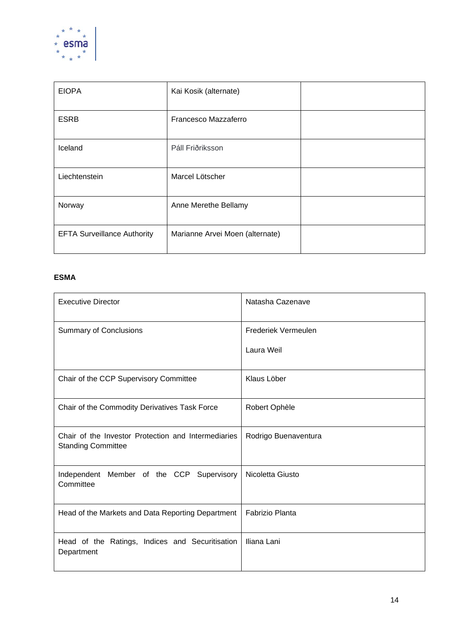

| <b>EIOPA</b>                       | Kai Kosik (alternate)           |  |
|------------------------------------|---------------------------------|--|
| <b>ESRB</b>                        | Francesco Mazzaferro            |  |
| Iceland                            | Páll Friðriksson                |  |
| Liechtenstein                      | Marcel Lötscher                 |  |
| Norway                             | Anne Merethe Bellamy            |  |
| <b>EFTA Surveillance Authority</b> | Marianne Arvei Moen (alternate) |  |

### **ESMA**

| <b>Executive Director</b>                                                        | Natasha Cazenave     |
|----------------------------------------------------------------------------------|----------------------|
| <b>Summary of Conclusions</b>                                                    | Frederiek Vermeulen  |
|                                                                                  | Laura Weil           |
| Chair of the CCP Supervisory Committee                                           | Klaus Löber          |
| Chair of the Commodity Derivatives Task Force                                    | Robert Ophèle        |
| Chair of the Investor Protection and Intermediaries<br><b>Standing Committee</b> | Rodrigo Buenaventura |
| Independent Member of the CCP Supervisory<br>Committee                           | Nicoletta Giusto     |
| Head of the Markets and Data Reporting Department                                | Fabrizio Planta      |
| Head of the Ratings, Indices and Securitisation<br>Department                    | Iliana Lani          |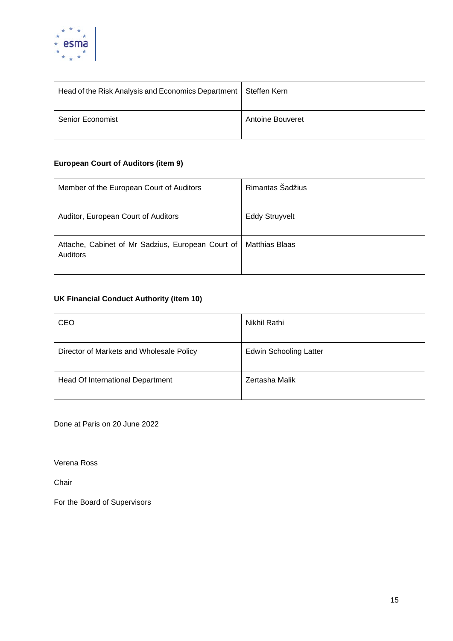

| Head of the Risk Analysis and Economics Department | Steffen Kern            |
|----------------------------------------------------|-------------------------|
| <b>Senior Economist</b>                            | <b>Antoine Bouveret</b> |

### **European Court of Auditors (item 9)**

| Member of the European Court of Auditors                             | Rimantas Šadžius      |
|----------------------------------------------------------------------|-----------------------|
|                                                                      |                       |
|                                                                      |                       |
| Auditor, European Court of Auditors                                  | <b>Eddy Struyvelt</b> |
|                                                                      |                       |
| Attache, Cabinet of Mr Sadzius, European Court of<br><b>Auditors</b> | <b>Matthias Blaas</b> |
|                                                                      |                       |

## **UK Financial Conduct Authority (item 10)**

| CEO                                      | Nikhil Rathi                  |
|------------------------------------------|-------------------------------|
| Director of Markets and Wholesale Policy | <b>Edwin Schooling Latter</b> |
| Head Of International Department         | Zertasha Malik                |

Done at Paris on 20 June 2022

Verena Ross

Chair

For the Board of Supervisors